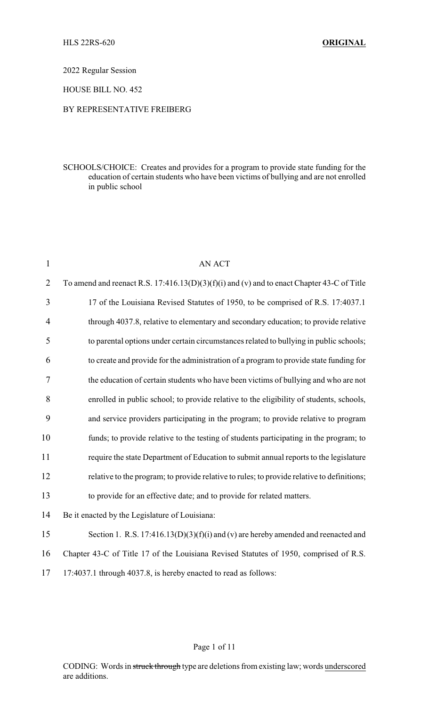2022 Regular Session

HOUSE BILL NO. 452

## BY REPRESENTATIVE FREIBERG

SCHOOLS/CHOICE: Creates and provides for a program to provide state funding for the education of certain students who have been victims of bullying and are not enrolled in public school

| $\mathbf{1}$   | <b>AN ACT</b>                                                                                |
|----------------|----------------------------------------------------------------------------------------------|
| $\overline{2}$ | To amend and reenact R.S. $17:416.13(D)(3)(f)(i)$ and (v) and to enact Chapter 43-C of Title |
| 3              | 17 of the Louisiana Revised Statutes of 1950, to be comprised of R.S. 17:4037.1              |
| $\overline{4}$ | through 4037.8, relative to elementary and secondary education; to provide relative          |
| 5              | to parental options under certain circumstances related to bullying in public schools;       |
| 6              | to create and provide for the administration of a program to provide state funding for       |
| 7              | the education of certain students who have been victims of bullying and who are not          |
| 8              | enrolled in public school; to provide relative to the eligibility of students, schools,      |
| 9              | and service providers participating in the program; to provide relative to program           |
| 10             | funds; to provide relative to the testing of students participating in the program; to       |
| 11             | require the state Department of Education to submit annual reports to the legislature        |
| 12             | relative to the program; to provide relative to rules; to provide relative to definitions;   |
| 13             | to provide for an effective date; and to provide for related matters.                        |
| 14             | Be it enacted by the Legislature of Louisiana:                                               |
| 15             | Section 1. R.S. $17:416.13(D)(3)(f)(i)$ and (v) are hereby amended and reenacted and         |
| 16             | Chapter 43-C of Title 17 of the Louisiana Revised Statutes of 1950, comprised of R.S.        |
| 17             | 17:4037.1 through 4037.8, is hereby enacted to read as follows:                              |
|                |                                                                                              |

## Page 1 of 11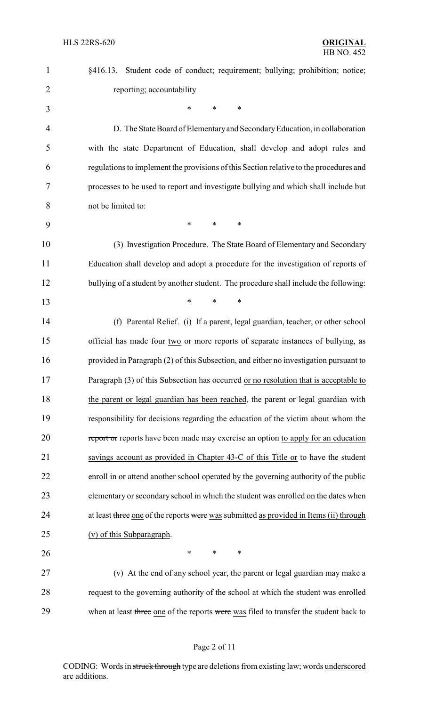| $\mathbf{1}$   | §416.13. Student code of conduct; requirement; bullying; prohibition; notice;          |
|----------------|----------------------------------------------------------------------------------------|
| $\overline{2}$ | reporting; accountability                                                              |
| 3              | $\ast$<br>*<br>*                                                                       |
| 4              | D. The State Board of Elementary and Secondary Education, in collaboration             |
| 5              | with the state Department of Education, shall develop and adopt rules and              |
| 6              | regulations to implement the provisions of this Section relative to the procedures and |
| 7              | processes to be used to report and investigate bullying and which shall include but    |
| 8              | not be limited to:                                                                     |
| 9              | $\ast$<br>$\ast$<br>∗                                                                  |
| 10             | (3) Investigation Procedure. The State Board of Elementary and Secondary               |
| 11             | Education shall develop and adopt a procedure for the investigation of reports of      |
| 12             | bullying of a student by another student. The procedure shall include the following:   |
| 13             | $\ast$<br>$\ast$<br>$\ast$                                                             |
| 14             | (f) Parental Relief. (i) If a parent, legal guardian, teacher, or other school         |
| 15             | official has made four two or more reports of separate instances of bullying, as       |
| 16             | provided in Paragraph (2) of this Subsection, and either no investigation pursuant to  |
| 17             | Paragraph (3) of this Subsection has occurred or no resolution that is acceptable to   |
| 18             | the parent or legal guardian has been reached, the parent or legal guardian with       |
| 19             | responsibility for decisions regarding the education of the victim about whom the      |
| 20             | report or reports have been made may exercise an option to apply for an education      |
| 21             | savings account as provided in Chapter 43-C of this Title or to have the student       |
| 22             | enroll in or attend another school operated by the governing authority of the public   |
| 23             | elementary or secondary school in which the student was enrolled on the dates when     |
| 24             | at least three one of the reports were was submitted as provided in Items (ii) through |
| 25             | (v) of this Subparagraph.                                                              |
| 26             | *<br>*<br>$\ast$                                                                       |
| 27             | (v) At the end of any school year, the parent or legal guardian may make a             |
| 28             | request to the governing authority of the school at which the student was enrolled     |
| 29             | when at least three one of the reports were was filed to transfer the student back to  |

# Page 2 of 11

CODING: Words in struck through type are deletions from existing law; words underscored are additions.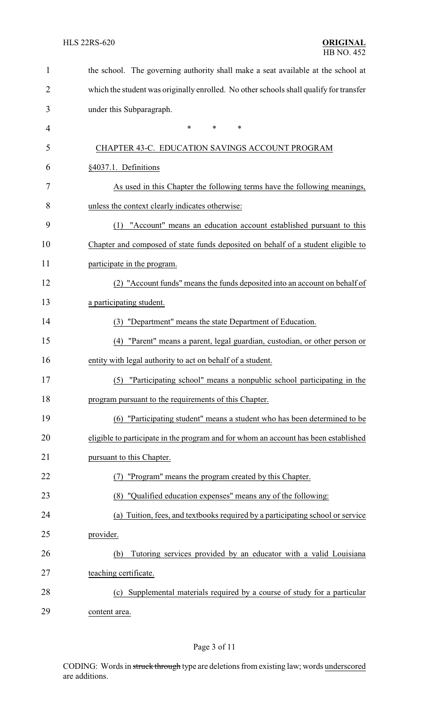| $\mathbf 1$ | the school. The governing authority shall make a seat available at the school at       |  |
|-------------|----------------------------------------------------------------------------------------|--|
| 2           | which the student was originally enrolled. No other schools shall qualify for transfer |  |
| 3           | under this Subparagraph.                                                               |  |
| 4           | $\ast$<br>$\ast$<br>*                                                                  |  |
| 5           | CHAPTER 43-C. EDUCATION SAVINGS ACCOUNT PROGRAM                                        |  |
| 6           | §4037.1. Definitions                                                                   |  |
| 7           | As used in this Chapter the following terms have the following meanings,               |  |
| 8           | unless the context clearly indicates otherwise:                                        |  |
| 9           | "Account" means an education account established pursuant to this<br>(1)               |  |
| 10          | Chapter and composed of state funds deposited on behalf of a student eligible to       |  |
| 11          | participate in the program.                                                            |  |
| 12          | (2) "Account funds" means the funds deposited into an account on behalf of             |  |
| 13          | a participating student.                                                               |  |
| 14          | (3) "Department" means the state Department of Education.                              |  |
| 15          | "Parent" means a parent, legal guardian, custodian, or other person or<br>(4)          |  |
| 16          | entity with legal authority to act on behalf of a student.                             |  |
| 17          | (5) "Participating school" means a nonpublic school participating in the               |  |
| 18          | program pursuant to the requirements of this Chapter.                                  |  |
| 19          | (6) "Participating student" means a student who has been determined to be              |  |
| 20          | eligible to participate in the program and for whom an account has been established    |  |
| 21          | pursuant to this Chapter.                                                              |  |
| 22          | "Program" means the program created by this Chapter.                                   |  |
| 23          | (8) "Qualified education expenses" means any of the following:                         |  |
| 24          | Tuition, fees, and textbooks required by a participating school or service<br>(a)      |  |
| 25          | provider.                                                                              |  |
| 26          | Tutoring services provided by an educator with a valid Louisiana<br>(b)                |  |
| 27          | teaching certificate.                                                                  |  |
| 28          | (c) Supplemental materials required by a course of study for a particular              |  |
| 29          | content area.                                                                          |  |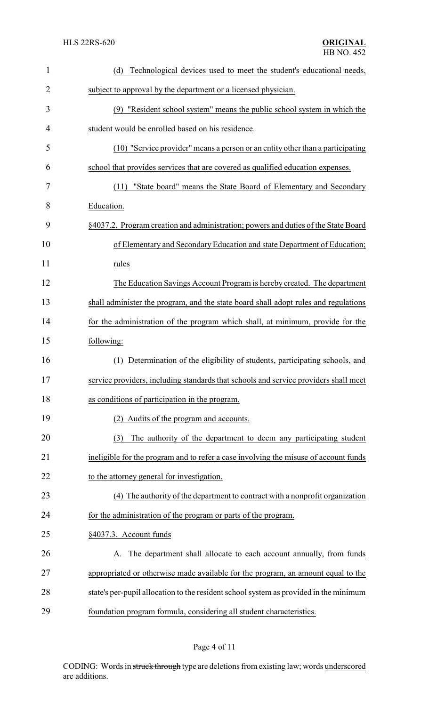| $\mathbf{1}$   | Technological devices used to meet the student's educational needs,<br>(d)            |  |  |
|----------------|---------------------------------------------------------------------------------------|--|--|
| $\overline{2}$ | subject to approval by the department or a licensed physician.                        |  |  |
| 3              | (9) "Resident school system" means the public school system in which the              |  |  |
| 4              | student would be enrolled based on his residence.                                     |  |  |
| 5              | (10) "Service provider" means a person or an entity other than a participating        |  |  |
| 6              | school that provides services that are covered as qualified education expenses.       |  |  |
| 7              | "State board" means the State Board of Elementary and Secondary<br>(11)               |  |  |
| 8              | Education.                                                                            |  |  |
| 9              | §4037.2. Program creation and administration; powers and duties of the State Board    |  |  |
| 10             | of Elementary and Secondary Education and state Department of Education;              |  |  |
| 11             | rules                                                                                 |  |  |
| 12             | The Education Savings Account Program is hereby created. The department               |  |  |
| 13             | shall administer the program, and the state board shall adopt rules and regulations   |  |  |
| 14             | for the administration of the program which shall, at minimum, provide for the        |  |  |
| 15             | following:                                                                            |  |  |
| 16             | Determination of the eligibility of students, participating schools, and<br>(1)       |  |  |
| 17             | service providers, including standards that schools and service providers shall meet  |  |  |
| 18             | as conditions of participation in the program.                                        |  |  |
| 19             | Audits of the program and accounts.                                                   |  |  |
| 20             | The authority of the department to deem any participating student<br>(3)              |  |  |
| 21             | ineligible for the program and to refer a case involving the misuse of account funds  |  |  |
| 22             | to the attorney general for investigation.                                            |  |  |
| 23             | (4) The authority of the department to contract with a nonprofit organization         |  |  |
| 24             | for the administration of the program or parts of the program.                        |  |  |
| 25             | §4037.3. Account funds                                                                |  |  |
| 26             | A. The department shall allocate to each account annually, from funds                 |  |  |
| 27             | appropriated or otherwise made available for the program, an amount equal to the      |  |  |
| 28             | state's per-pupil allocation to the resident school system as provided in the minimum |  |  |
| 29             | foundation program formula, considering all student characteristics.                  |  |  |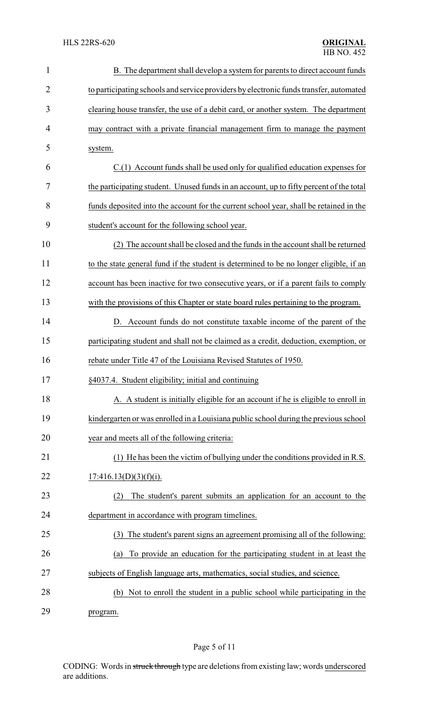| $\mathbf{1}$   | B. The department shall develop a system for parents to direct account funds            |
|----------------|-----------------------------------------------------------------------------------------|
| $\overline{2}$ | to participating schools and service providers by electronic funds transfer, automated  |
| 3              | clearing house transfer, the use of a debit card, or another system. The department     |
| 4              | may contract with a private financial management firm to manage the payment             |
| 5              | system.                                                                                 |
| 6              | C.(1) Account funds shall be used only for qualified education expenses for             |
| 7              | the participating student. Unused funds in an account, up to fifty percent of the total |
| 8              | funds deposited into the account for the current school year, shall be retained in the  |
| 9              | student's account for the following school year.                                        |
| 10             | (2) The account shall be closed and the funds in the account shall be returned          |
| 11             | to the state general fund if the student is determined to be no longer eligible, if an  |
| 12             | account has been inactive for two consecutive years, or if a parent fails to comply     |
| 13             | with the provisions of this Chapter or state board rules pertaining to the program.     |
| 14             | D. Account funds do not constitute taxable income of the parent of the                  |
| 15             | participating student and shall not be claimed as a credit, deduction, exemption, or    |
| 16             | rebate under Title 47 of the Louisiana Revised Statutes of 1950.                        |
| 17             | §4037.4. Student eligibility; initial and continuing                                    |
| 18             | A. A student is initially eligible for an account if he is eligible to enroll in        |
| 19             | kindergarten or was enrolled in a Louisiana public school during the previous school    |
| 20             | year and meets all of the following criteria:                                           |
| 21             | (1) He has been the victim of bullying under the conditions provided in R.S.            |
| 22             | 17:416.13(D)(3)(f)(i).                                                                  |
| 23             | The student's parent submits an application for an account to the<br>(2)                |
| 24             | department in accordance with program timelines.                                        |
| 25             | The student's parent signs an agreement promising all of the following:<br>(3)          |
| 26             | To provide an education for the participating student in at least the<br>(a)            |
| 27             | subjects of English language arts, mathematics, social studies, and science.            |
| 28             | (b) Not to enroll the student in a public school while participating in the             |
| 29             | program.                                                                                |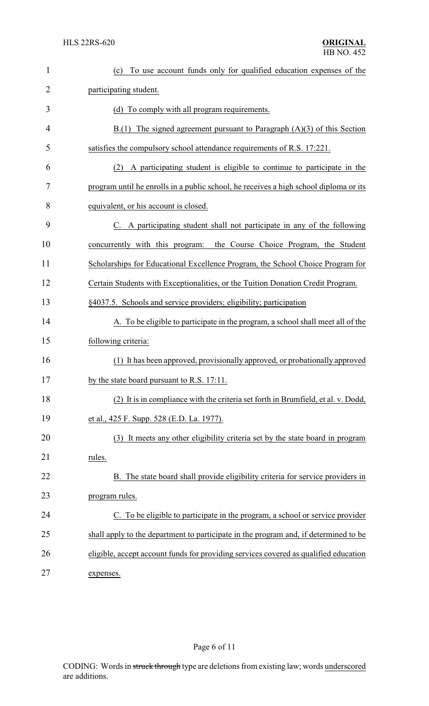| $\mathbf{1}$   | To use account funds only for qualified education expenses of the<br>(c)              |
|----------------|---------------------------------------------------------------------------------------|
| 2              | participating student.                                                                |
| 3              | (d) To comply with all program requirements.                                          |
| $\overline{4}$ | $B(1)$ The signed agreement pursuant to Paragraph $(A)(3)$ of this Section            |
| 5              | satisfies the compulsory school attendance requirements of R.S. 17:221.               |
| 6              | A participating student is eligible to continue to participate in the<br>(2)          |
| 7              | program until he enrolls in a public school, he receives a high school diploma or its |
| 8              | equivalent, or his account is closed.                                                 |
| 9              | C. A participating student shall not participate in any of the following              |
| 10             | concurrently with this program:<br>the Course Choice Program, the Student             |
| 11             | Scholarships for Educational Excellence Program, the School Choice Program for        |
| 12             | Certain Students with Exceptionalities, or the Tuition Donation Credit Program.       |
| 13             | §4037.5. Schools and service providers; eligibility; participation                    |
| 14             | A. To be eligible to participate in the program, a school shall meet all of the       |
| 15             | following criteria:                                                                   |
| 16             | (1) It has been approved, provisionally approved, or probationally approved           |
| 17             | by the state board pursuant to R.S. 17:11.                                            |
| 18             | (2) It is in compliance with the criteria set forth in Brumfield, et al. v. Dodd,     |
| 19             | et al., 425 F. Supp. 528 (E.D. La. 1977).                                             |
| 20             | It meets any other eligibility criteria set by the state board in program<br>(3)      |
| 21             | rules.                                                                                |
| 22             | The state board shall provide eligibility criteria for service providers in           |
| 23             | program rules.                                                                        |
| 24             | C. To be eligible to participate in the program, a school or service provider         |
| 25             | shall apply to the department to participate in the program and, if determined to be  |
| 26             | eligible, accept account funds for providing services covered as qualified education  |
| 27             | expenses.                                                                             |

# Page 6 of 11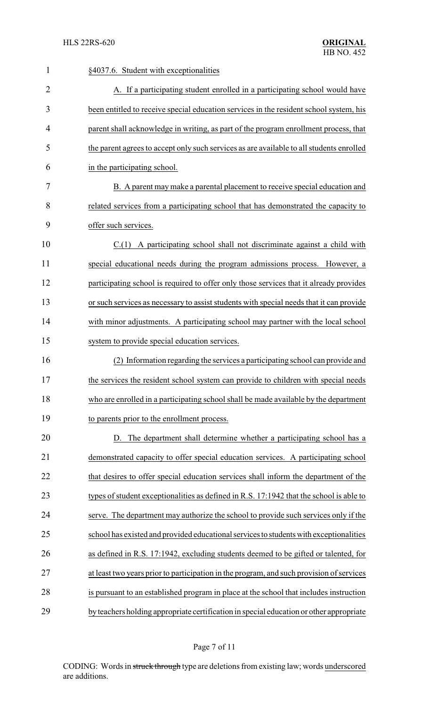| $\mathbf{1}$   | §4037.6. Student with exceptionalities                                                   |
|----------------|------------------------------------------------------------------------------------------|
| $\overline{2}$ | A. If a participating student enrolled in a participating school would have              |
| 3              | been entitled to receive special education services in the resident school system, his   |
| 4              | parent shall acknowledge in writing, as part of the program enrollment process, that     |
| 5              | the parent agrees to accept only such services as are available to all students enrolled |
| 6              | in the participating school.                                                             |
| 7              | B. A parent may make a parental placement to receive special education and               |
| 8              | related services from a participating school that has demonstrated the capacity to       |
| 9              | offer such services.                                                                     |
| 10             | $C(1)$ A participating school shall not discriminate against a child with                |
| 11             | special educational needs during the program admissions process. However, a              |
| 12             | participating school is required to offer only those services that it already provides   |
| 13             | or such services as necessary to assist students with special needs that it can provide  |
| 14             | with minor adjustments. A participating school may partner with the local school         |
| 15             | system to provide special education services.                                            |
| 16             | (2) Information regarding the services a participating school can provide and            |
| 17             | the services the resident school system can provide to children with special needs       |
| 18             | who are enrolled in a participating school shall be made available by the department     |
| 19             | to parents prior to the enrollment process.                                              |
| 20             | D. The department shall determine whether a participating school has a                   |
| 21             | demonstrated capacity to offer special education services. A participating school        |
| 22             | that desires to offer special education services shall inform the department of the      |
| 23             | types of student exceptionalities as defined in R.S. 17:1942 that the school is able to  |
| 24             | serve. The department may authorize the school to provide such services only if the      |
| 25             | school has existed and provided educational services to students with exceptionalities   |
| 26             | as defined in R.S. 17:1942, excluding students deemed to be gifted or talented, for      |
| 27             | at least two years prior to participation in the program, and such provision of services |
| 28             | is pursuant to an established program in place at the school that includes instruction   |
| 29             | by teachers holding appropriate certification in special education or other appropriate  |
|                |                                                                                          |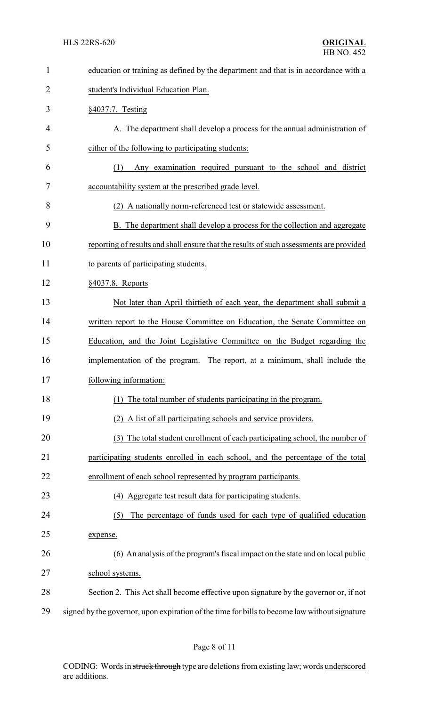| $\mathbf{1}$   | education or training as defined by the department and that is in accordance with a           |
|----------------|-----------------------------------------------------------------------------------------------|
| $\overline{2}$ | student's Individual Education Plan.                                                          |
| 3              | §4037.7. Testing                                                                              |
| 4              | A. The department shall develop a process for the annual administration of                    |
| 5              | either of the following to participating students:                                            |
| 6              | Any examination required pursuant to the school and district<br>(1)                           |
| 7              | accountability system at the prescribed grade level.                                          |
| 8              | (2) A nationally norm-referenced test or statewide assessment.                                |
| 9              | B. The department shall develop a process for the collection and aggregate                    |
| 10             | reporting of results and shall ensure that the results of such assessments are provided       |
| 11             | to parents of participating students.                                                         |
| 12             | §4037.8. Reports                                                                              |
| 13             | Not later than April thirtieth of each year, the department shall submit a                    |
| 14             | written report to the House Committee on Education, the Senate Committee on                   |
| 15             | Education, and the Joint Legislative Committee on the Budget regarding the                    |
| 16             | implementation of the program. The report, at a minimum, shall include the                    |
| 17             | following information:                                                                        |
| 18             | The total number of students participating in the program.                                    |
| 19             | A list of all participating schools and service providers.                                    |
| 20             | (3) The total student enrollment of each participating school, the number of                  |
| 21             | participating students enrolled in each school, and the percentage of the total               |
| 22             | enrollment of each school represented by program participants.                                |
| 23             | (4) Aggregate test result data for participating students.                                    |
| 24             | The percentage of funds used for each type of qualified education<br>(5)                      |
| 25             | expense.                                                                                      |
| 26             | (6) An analysis of the program's fiscal impact on the state and on local public               |
| 27             | school systems.                                                                               |
| 28             | Section 2. This Act shall become effective upon signature by the governor or, if not          |
| 29             | signed by the governor, upon expiration of the time for bills to become law without signature |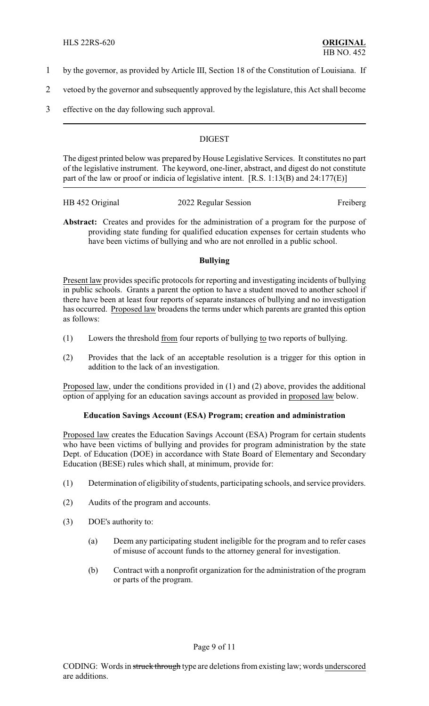- 1 by the governor, as provided by Article III, Section 18 of the Constitution of Louisiana. If
- 2 vetoed by the governor and subsequently approved by the legislature, this Act shall become
- 3 effective on the day following such approval.

## **DIGEST**

The digest printed below was prepared by House Legislative Services. It constitutes no part of the legislative instrument. The keyword, one-liner, abstract, and digest do not constitute part of the law or proof or indicia of legislative intent. [R.S. 1:13(B) and 24:177(E)]

| HB 452 Original | 2022 Regular Session | Freiberg |
|-----------------|----------------------|----------|
|                 |                      |          |

**Abstract:** Creates and provides for the administration of a program for the purpose of providing state funding for qualified education expenses for certain students who have been victims of bullying and who are not enrolled in a public school.

## **Bullying**

Present law provides specific protocols for reporting and investigating incidents of bullying in public schools. Grants a parent the option to have a student moved to another school if there have been at least four reports of separate instances of bullying and no investigation has occurred. Proposed law broadens the terms under which parents are granted this option as follows:

- (1) Lowers the threshold from four reports of bullying to two reports of bullying.
- (2) Provides that the lack of an acceptable resolution is a trigger for this option in addition to the lack of an investigation.

Proposed law, under the conditions provided in (1) and (2) above, provides the additional option of applying for an education savings account as provided in proposed law below.

## **Education Savings Account (ESA) Program; creation and administration**

Proposed law creates the Education Savings Account (ESA) Program for certain students who have been victims of bullying and provides for program administration by the state Dept. of Education (DOE) in accordance with State Board of Elementary and Secondary Education (BESE) rules which shall, at minimum, provide for:

- (1) Determination of eligibility of students, participating schools, and service providers.
- (2) Audits of the program and accounts.
- (3) DOE's authority to:
	- (a) Deem any participating student ineligible for the program and to refer cases of misuse of account funds to the attorney general for investigation.
	- (b) Contract with a nonprofit organization for the administration of the program or parts of the program.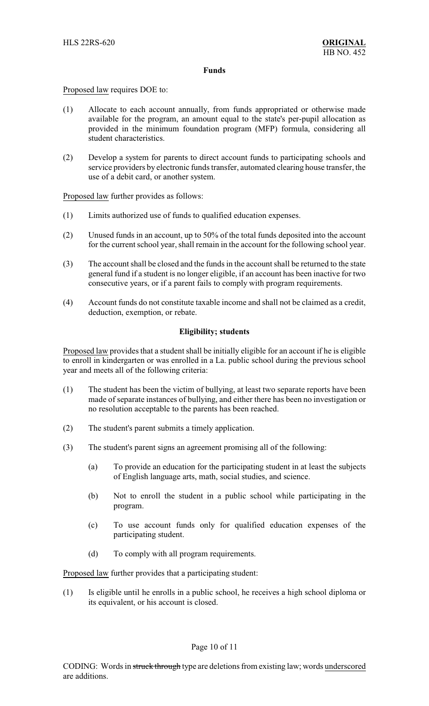#### **Funds**

Proposed law requires DOE to:

- (1) Allocate to each account annually, from funds appropriated or otherwise made available for the program, an amount equal to the state's per-pupil allocation as provided in the minimum foundation program (MFP) formula, considering all student characteristics.
- (2) Develop a system for parents to direct account funds to participating schools and service providers by electronic funds transfer, automated clearing house transfer, the use of a debit card, or another system.

Proposed law further provides as follows:

- (1) Limits authorized use of funds to qualified education expenses.
- (2) Unused funds in an account, up to 50% of the total funds deposited into the account for the current school year, shall remain in the account for the following school year.
- (3) The account shall be closed and the funds in the account shall be returned to the state general fund if a student is no longer eligible, if an account has been inactive for two consecutive years, or if a parent fails to comply with program requirements.
- (4) Account funds do not constitute taxable income and shall not be claimed as a credit, deduction, exemption, or rebate.

## **Eligibility; students**

Proposed law provides that a student shall be initially eligible for an account if he is eligible to enroll in kindergarten or was enrolled in a La. public school during the previous school year and meets all of the following criteria:

- (1) The student has been the victim of bullying, at least two separate reports have been made of separate instances of bullying, and either there has been no investigation or no resolution acceptable to the parents has been reached.
- (2) The student's parent submits a timely application.
- (3) The student's parent signs an agreement promising all of the following:
	- (a) To provide an education for the participating student in at least the subjects of English language arts, math, social studies, and science.
	- (b) Not to enroll the student in a public school while participating in the program.
	- (c) To use account funds only for qualified education expenses of the participating student.
	- (d) To comply with all program requirements.

Proposed law further provides that a participating student:

(1) Is eligible until he enrolls in a public school, he receives a high school diploma or its equivalent, or his account is closed.

## Page 10 of 11